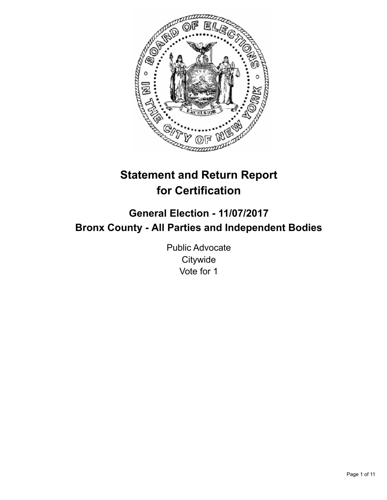

# **Statement and Return Report for Certification**

# **General Election - 11/07/2017 Bronx County - All Parties and Independent Bodies**

Public Advocate **Citywide** Vote for 1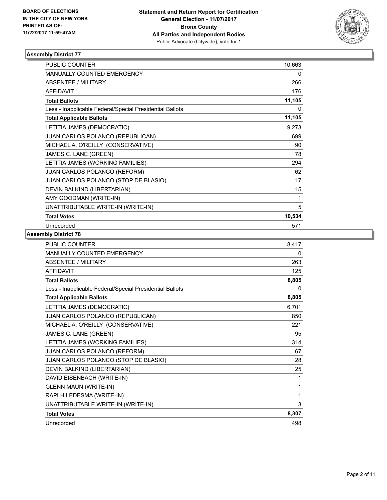

| <b>PUBLIC COUNTER</b>                                    | 10,663 |
|----------------------------------------------------------|--------|
| <b>MANUALLY COUNTED EMERGENCY</b>                        | 0      |
| <b>ABSENTEE / MILITARY</b>                               | 266    |
| <b>AFFIDAVIT</b>                                         | 176    |
| <b>Total Ballots</b>                                     | 11,105 |
| Less - Inapplicable Federal/Special Presidential Ballots | 0      |
| <b>Total Applicable Ballots</b>                          | 11,105 |
| LETITIA JAMES (DEMOCRATIC)                               | 9,273  |
| JUAN CARLOS POLANCO (REPUBLICAN)                         | 699    |
| MICHAEL A. O'REILLY (CONSERVATIVE)                       | 90     |
| JAMES C. LANE (GREEN)                                    | 78     |
| LETITIA JAMES (WORKING FAMILIES)                         | 294    |
| <b>JUAN CARLOS POLANCO (REFORM)</b>                      | 62     |
| JUAN CARLOS POLANCO (STOP DE BLASIO)                     | 17     |
| DEVIN BALKIND (LIBERTARIAN)                              | 15     |
| AMY GOODMAN (WRITE-IN)                                   | 1      |
| UNATTRIBUTABLE WRITE-IN (WRITE-IN)                       | 5      |
| <b>Total Votes</b>                                       | 10,534 |
| Unrecorded                                               | 571    |

| <b>PUBLIC COUNTER</b>                                    | 8,417 |
|----------------------------------------------------------|-------|
| <b>MANUALLY COUNTED EMERGENCY</b>                        | 0     |
| <b>ABSENTEE / MILITARY</b>                               | 263   |
| <b>AFFIDAVIT</b>                                         | 125   |
| <b>Total Ballots</b>                                     | 8,805 |
| Less - Inapplicable Federal/Special Presidential Ballots | 0     |
| <b>Total Applicable Ballots</b>                          | 8,805 |
| LETITIA JAMES (DEMOCRATIC)                               | 6,701 |
| JUAN CARLOS POLANCO (REPUBLICAN)                         | 850   |
| MICHAEL A. O'REILLY (CONSERVATIVE)                       | 221   |
| JAMES C. LANE (GREEN)                                    | 95    |
| LETITIA JAMES (WORKING FAMILIES)                         | 314   |
| JUAN CARLOS POLANCO (REFORM)                             | 67    |
| JUAN CARLOS POLANCO (STOP DE BLASIO)                     | 28    |
| DEVIN BALKIND (LIBERTARIAN)                              | 25    |
| DAVID EISENBACH (WRITE-IN)                               | 1     |
| <b>GLENN MAUN (WRITE-IN)</b>                             | 1     |
| RAPLH LEDESMA (WRITE-IN)                                 | 1     |
| UNATTRIBUTABLE WRITE-IN (WRITE-IN)                       | 3     |
| <b>Total Votes</b>                                       | 8,307 |
| Unrecorded                                               | 498   |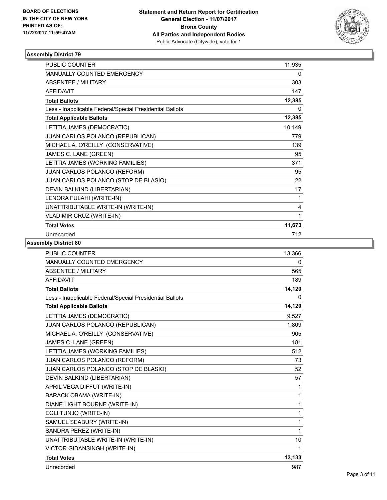

| <b>PUBLIC COUNTER</b>                                    | 11,935 |
|----------------------------------------------------------|--------|
| <b>MANUALLY COUNTED EMERGENCY</b>                        | 0      |
| <b>ABSENTEE / MILITARY</b>                               | 303    |
| <b>AFFIDAVIT</b>                                         | 147    |
| <b>Total Ballots</b>                                     | 12,385 |
| Less - Inapplicable Federal/Special Presidential Ballots | 0      |
| <b>Total Applicable Ballots</b>                          | 12,385 |
| LETITIA JAMES (DEMOCRATIC)                               | 10,149 |
| JUAN CARLOS POLANCO (REPUBLICAN)                         | 779    |
| MICHAEL A. O'REILLY (CONSERVATIVE)                       | 139    |
| JAMES C. LANE (GREEN)                                    | 95     |
| LETITIA JAMES (WORKING FAMILIES)                         | 371    |
| JUAN CARLOS POLANCO (REFORM)                             | 95     |
| JUAN CARLOS POLANCO (STOP DE BLASIO)                     | 22     |
| DEVIN BALKIND (LIBERTARIAN)                              | 17     |
| LENORA FULAHI (WRITE-IN)                                 | 1      |
| UNATTRIBUTABLE WRITE-IN (WRITE-IN)                       | 4      |
| <b>VLADIMIR CRUZ (WRITE-IN)</b>                          | 1      |
| <b>Total Votes</b>                                       | 11,673 |
| Unrecorded                                               | 712    |

| <b>PUBLIC COUNTER</b>                                    | 13,366       |
|----------------------------------------------------------|--------------|
| <b>MANUALLY COUNTED EMERGENCY</b>                        | 0            |
| <b>ABSENTEE / MILITARY</b>                               | 565          |
| <b>AFFIDAVIT</b>                                         | 189          |
| <b>Total Ballots</b>                                     | 14,120       |
| Less - Inapplicable Federal/Special Presidential Ballots | 0            |
| <b>Total Applicable Ballots</b>                          | 14,120       |
| LETITIA JAMES (DEMOCRATIC)                               | 9,527        |
| JUAN CARLOS POLANCO (REPUBLICAN)                         | 1,809        |
| MICHAEL A. O'REILLY (CONSERVATIVE)                       | 905          |
| JAMES C. LANE (GREEN)                                    | 181          |
| LETITIA JAMES (WORKING FAMILIES)                         | 512          |
| JUAN CARLOS POLANCO (REFORM)                             | 73           |
| JUAN CARLOS POLANCO (STOP DE BLASIO)                     | 52           |
| DEVIN BALKIND (LIBERTARIAN)                              | 57           |
| APRIL VEGA DIFFUT (WRITE-IN)                             | $\mathbf{1}$ |
| <b>BARACK OBAMA (WRITE-IN)</b>                           | $\mathbf{1}$ |
| DIANE LIGHT BOURNE (WRITE-IN)                            | 1            |
| EGLI TUNJO (WRITE-IN)                                    | 1            |
| SAMUEL SEABURY (WRITE-IN)                                | 1            |
| SANDRA PEREZ (WRITE-IN)                                  | 1            |
| UNATTRIBUTABLE WRITE-IN (WRITE-IN)                       | 10           |
| VICTOR GIDANSINGH (WRITE-IN)                             | 1            |
| <b>Total Votes</b>                                       | 13,133       |
| Unrecorded                                               | 987          |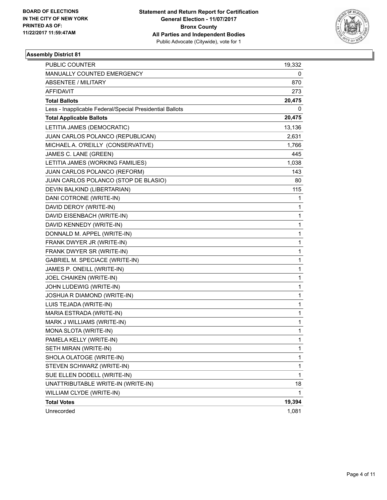

| PUBLIC COUNTER                                           | 19,332 |
|----------------------------------------------------------|--------|
| MANUALLY COUNTED EMERGENCY                               | 0      |
| <b>ABSENTEE / MILITARY</b>                               | 870    |
| <b>AFFIDAVIT</b>                                         | 273    |
| <b>Total Ballots</b>                                     | 20,475 |
| Less - Inapplicable Federal/Special Presidential Ballots | 0      |
| <b>Total Applicable Ballots</b>                          | 20,475 |
| LETITIA JAMES (DEMOCRATIC)                               | 13,136 |
| JUAN CARLOS POLANCO (REPUBLICAN)                         | 2,631  |
| MICHAEL A. O'REILLY (CONSERVATIVE)                       | 1,766  |
| JAMES C. LANE (GREEN)                                    | 445    |
| LETITIA JAMES (WORKING FAMILIES)                         | 1,038  |
| JUAN CARLOS POLANCO (REFORM)                             | 143    |
| JUAN CARLOS POLANCO (STOP DE BLASIO)                     | 80     |
| DEVIN BALKIND (LIBERTARIAN)                              | 115    |
| DANI COTRONE (WRITE-IN)                                  | 1      |
| DAVID DEROY (WRITE-IN)                                   | 1      |
| DAVID EISENBACH (WRITE-IN)                               | 1      |
| DAVID KENNEDY (WRITE-IN)                                 | 1      |
| DONNALD M. APPEL (WRITE-IN)                              | 1      |
| FRANK DWYER JR (WRITE-IN)                                | 1      |
| FRANK DWYER SR (WRITE-IN)                                | 1      |
| <b>GABRIEL M. SPECIACE (WRITE-IN)</b>                    | 1      |
| JAMES P. ONEILL (WRITE-IN)                               | 1      |
| JOEL CHAIKEN (WRITE-IN)                                  | 1      |
| JOHN LUDEWIG (WRITE-IN)                                  | 1      |
| JOSHUA R DIAMOND (WRITE-IN)                              | 1      |
| LUIS TEJADA (WRITE-IN)                                   | 1      |
| MARIA ESTRADA (WRITE-IN)                                 | 1      |
| MARK J WILLIAMS (WRITE-IN)                               | 1      |
| MONA SLOTA (WRITE-IN)                                    | 1      |
| PAMELA KELLY (WRITE-IN)                                  | 1      |
| SETH MIRAN (WRITE-IN)                                    | 1      |
| SHOLA OLATOGE (WRITE-IN)                                 | 1      |
| STEVEN SCHWARZ (WRITE-IN)                                | 1      |
| SUE ELLEN DODELL (WRITE-IN)                              | 1      |
| UNATTRIBUTABLE WRITE-IN (WRITE-IN)                       | 18     |
| WILLIAM CLYDE (WRITE-IN)                                 | 1      |
| <b>Total Votes</b>                                       | 19,394 |
| Unrecorded                                               | 1,081  |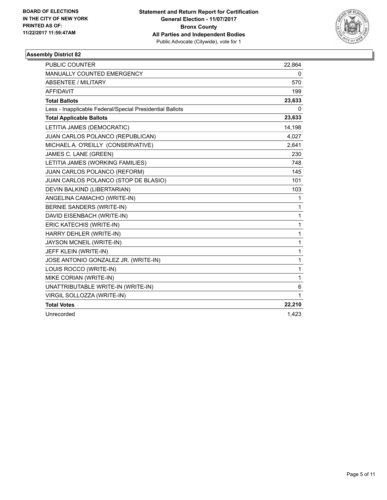

| <b>PUBLIC COUNTER</b>                                    | 22,864 |
|----------------------------------------------------------|--------|
| <b>MANUALLY COUNTED EMERGENCY</b>                        | 0      |
| <b>ABSENTEE / MILITARY</b>                               | 570    |
| <b>AFFIDAVIT</b>                                         | 199    |
| <b>Total Ballots</b>                                     | 23,633 |
| Less - Inapplicable Federal/Special Presidential Ballots | 0      |
| <b>Total Applicable Ballots</b>                          | 23,633 |
| LETITIA JAMES (DEMOCRATIC)                               | 14,198 |
| JUAN CARLOS POLANCO (REPUBLICAN)                         | 4,027  |
| MICHAEL A. O'REILLY (CONSERVATIVE)                       | 2,641  |
| JAMES C. LANE (GREEN)                                    | 230    |
| LETITIA JAMES (WORKING FAMILIES)                         | 748    |
| JUAN CARLOS POLANCO (REFORM)                             | 145    |
| JUAN CARLOS POLANCO (STOP DE BLASIO)                     | 101    |
| DEVIN BALKIND (LIBERTARIAN)                              | 103    |
| ANGELINA CAMACHO (WRITE-IN)                              | 1      |
| BERNIE SANDERS (WRITE-IN)                                | 1      |
| DAVID EISENBACH (WRITE-IN)                               | 1      |
| ERIC KATECHIS (WRITE-IN)                                 | 1      |
| HARRY DEHLER (WRITE-IN)                                  | 1      |
| JAYSON MCNEIL (WRITE-IN)                                 | 1      |
| JEFF KLEIN (WRITE-IN)                                    | 1      |
| JOSE ANTONIO GONZALEZ JR. (WRITE-IN)                     | 1      |
| LOUIS ROCCO (WRITE-IN)                                   | 1      |
| MIKE CORIAN (WRITE-IN)                                   | 1      |
| UNATTRIBUTABLE WRITE-IN (WRITE-IN)                       | 6      |
| VIRGIL SOLLOZZA (WRITE-IN)                               | 1      |
| <b>Total Votes</b>                                       | 22,210 |
| Unrecorded                                               | 1,423  |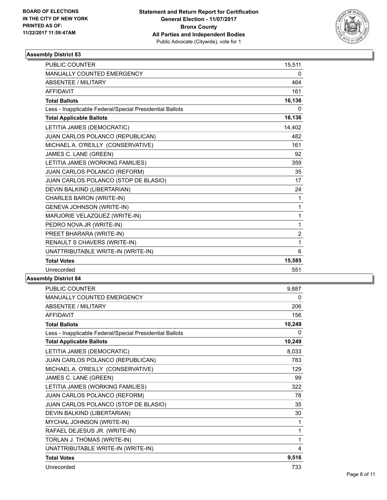

| <b>PUBLIC COUNTER</b>                                    | 15,511         |
|----------------------------------------------------------|----------------|
| MANUALLY COUNTED EMERGENCY                               | 0              |
| <b>ABSENTEE / MILITARY</b>                               | 464            |
| <b>AFFIDAVIT</b>                                         | 161            |
| <b>Total Ballots</b>                                     | 16,136         |
| Less - Inapplicable Federal/Special Presidential Ballots | 0              |
| <b>Total Applicable Ballots</b>                          | 16,136         |
| LETITIA JAMES (DEMOCRATIC)                               | 14,402         |
| JUAN CARLOS POLANCO (REPUBLICAN)                         | 482            |
| MICHAEL A. O'REILLY (CONSERVATIVE)                       | 161            |
| JAMES C. LANE (GREEN)                                    | 92             |
| LETITIA JAMES (WORKING FAMILIES)                         | 359            |
| JUAN CARLOS POLANCO (REFORM)                             | 35             |
| JUAN CARLOS POLANCO (STOP DE BLASIO)                     | 17             |
| DEVIN BALKIND (LIBERTARIAN)                              | 24             |
| CHARLES BARON (WRITE-IN)                                 | $\mathbf{1}$   |
| GENEVA JOHNSON (WRITE-IN)                                | 1              |
| MARJORIE VELAZQUEZ (WRITE-IN)                            | 1              |
| PEDRO NOVA JR (WRITE-IN)                                 | 1              |
| PREET BHARARA (WRITE-IN)                                 | $\overline{2}$ |
| RENAULT S CHAVERS (WRITE-IN)                             | 1              |
| UNATTRIBUTABLE WRITE-IN (WRITE-IN)                       | 6              |
| <b>Total Votes</b>                                       | 15,585         |
| Unrecorded                                               | 551            |

| <b>PUBLIC COUNTER</b>                                    | 9,887        |
|----------------------------------------------------------|--------------|
| <b>MANUALLY COUNTED EMERGENCY</b>                        | 0            |
| <b>ABSENTEE / MILITARY</b>                               | 206          |
| <b>AFFIDAVIT</b>                                         | 156          |
| <b>Total Ballots</b>                                     | 10,249       |
| Less - Inapplicable Federal/Special Presidential Ballots | $\mathbf{0}$ |
| <b>Total Applicable Ballots</b>                          | 10,249       |
| LETITIA JAMES (DEMOCRATIC)                               | 8,033        |
| JUAN CARLOS POLANCO (REPUBLICAN)                         | 783          |
| MICHAEL A. O'REILLY (CONSERVATIVE)                       | 129          |
| JAMES C. LANE (GREEN)                                    | 99           |
| LETITIA JAMES (WORKING FAMILIES)                         | 322          |
| JUAN CARLOS POLANCO (REFORM)                             | 78           |
| JUAN CARLOS POLANCO (STOP DE BLASIO)                     | 35           |
| DEVIN BALKIND (LIBERTARIAN)                              | 30           |
| MYCHAL JOHNSON (WRITE-IN)                                | 1            |
| RAFAEL DEJESUS JR. (WRITE-IN)                            | 1            |
| TORLAN J. THOMAS (WRITE-IN)                              | 1            |
| UNATTRIBUTABLE WRITE-IN (WRITE-IN)                       | 4            |
| <b>Total Votes</b>                                       | 9,516        |
| Unrecorded                                               | 733          |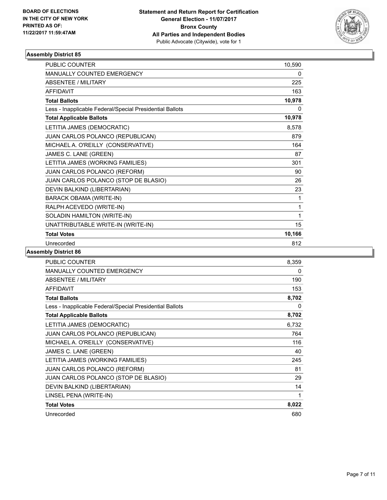

| <b>PUBLIC COUNTER</b>                                    | 10,590 |
|----------------------------------------------------------|--------|
| MANUALLY COUNTED EMERGENCY                               | 0      |
| <b>ABSENTEE / MILITARY</b>                               | 225    |
| <b>AFFIDAVIT</b>                                         | 163    |
| <b>Total Ballots</b>                                     | 10,978 |
| Less - Inapplicable Federal/Special Presidential Ballots | 0      |
| <b>Total Applicable Ballots</b>                          | 10,978 |
| LETITIA JAMES (DEMOCRATIC)                               | 8,578  |
| JUAN CARLOS POLANCO (REPUBLICAN)                         | 879    |
| MICHAEL A. O'REILLY (CONSERVATIVE)                       | 164    |
| JAMES C. LANE (GREEN)                                    | 87     |
| LETITIA JAMES (WORKING FAMILIES)                         | 301    |
| JUAN CARLOS POLANCO (REFORM)                             | 90     |
| JUAN CARLOS POLANCO (STOP DE BLASIO)                     | 26     |
| DEVIN BALKIND (LIBERTARIAN)                              | 23     |
| <b>BARACK OBAMA (WRITE-IN)</b>                           | 1      |
| RALPH ACEVEDO (WRITE-IN)                                 | 1      |
| SOLADIN HAMILTON (WRITE-IN)                              | 1      |
| UNATTRIBUTABLE WRITE-IN (WRITE-IN)                       | 15     |
| <b>Total Votes</b>                                       | 10,166 |
| Unrecorded                                               | 812    |

| PUBLIC COUNTER                                           | 8.359 |
|----------------------------------------------------------|-------|
| <b>MANUALLY COUNTED EMERGENCY</b>                        | 0     |
| <b>ABSENTEE / MILITARY</b>                               | 190   |
| <b>AFFIDAVIT</b>                                         | 153   |
| <b>Total Ballots</b>                                     | 8,702 |
| Less - Inapplicable Federal/Special Presidential Ballots | 0     |
| <b>Total Applicable Ballots</b>                          | 8,702 |
| LETITIA JAMES (DEMOCRATIC)                               | 6,732 |
| <b>JUAN CARLOS POLANCO (REPUBLICAN)</b>                  | 764   |
| MICHAEL A. O'REILLY (CONSERVATIVE)                       | 116   |
| JAMES C. LANE (GREEN)                                    | 40    |
| LETITIA JAMES (WORKING FAMILIES)                         | 245   |
| <b>JUAN CARLOS POLANCO (REFORM)</b>                      | 81    |
| JUAN CARLOS POLANCO (STOP DE BLASIO)                     | 29    |
| DEVIN BALKIND (LIBERTARIAN)                              | 14    |
| LINSEL PENA (WRITE-IN)                                   | 1     |
| <b>Total Votes</b>                                       | 8,022 |
| Unrecorded                                               | 680   |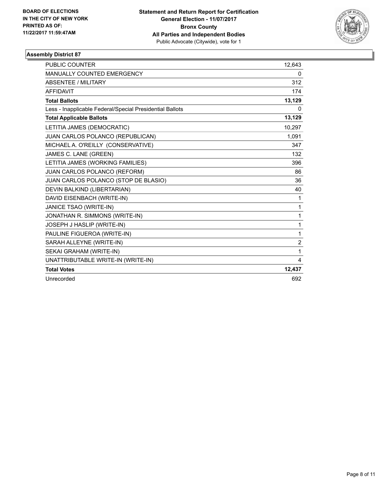

| <b>PUBLIC COUNTER</b>                                    | 12,643         |
|----------------------------------------------------------|----------------|
| <b>MANUALLY COUNTED EMERGENCY</b>                        | 0              |
| <b>ABSENTEE / MILITARY</b>                               | 312            |
| <b>AFFIDAVIT</b>                                         | 174            |
| <b>Total Ballots</b>                                     | 13,129         |
| Less - Inapplicable Federal/Special Presidential Ballots | 0              |
| <b>Total Applicable Ballots</b>                          | 13,129         |
| LETITIA JAMES (DEMOCRATIC)                               | 10,297         |
| JUAN CARLOS POLANCO (REPUBLICAN)                         | 1.091          |
| MICHAEL A. O'REILLY (CONSERVATIVE)                       | 347            |
| JAMES C. LANE (GREEN)                                    | 132            |
| LETITIA JAMES (WORKING FAMILIES)                         | 396            |
| JUAN CARLOS POLANCO (REFORM)                             | 86             |
| JUAN CARLOS POLANCO (STOP DE BLASIO)                     | 36             |
| DEVIN BALKIND (LIBERTARIAN)                              | 40             |
| DAVID EISENBACH (WRITE-IN)                               | 1              |
| JANICE TSAO (WRITE-IN)                                   | 1              |
| JONATHAN R. SIMMONS (WRITE-IN)                           | 1              |
| JOSEPH J HASLIP (WRITE-IN)                               | 1              |
| PAULINE FIGUEROA (WRITE-IN)                              | 1              |
| SARAH ALLEYNE (WRITE-IN)                                 | $\overline{2}$ |
| SEKAI GRAHAM (WRITE-IN)                                  | 1              |
| UNATTRIBUTABLE WRITE-IN (WRITE-IN)                       | 4              |
| <b>Total Votes</b>                                       | 12,437         |
| Unrecorded                                               | 692            |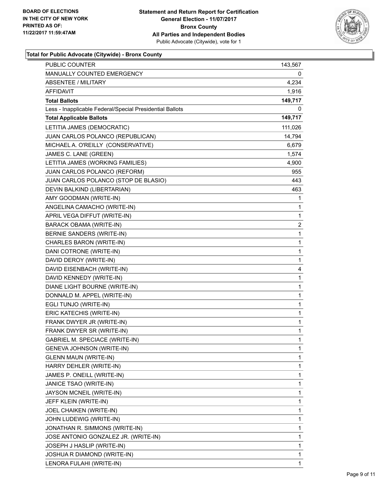

#### **Total for Public Advocate (Citywide) - Bronx County**

| MANUALLY COUNTED EMERGENCY<br>0<br>4,234<br><b>ABSENTEE / MILITARY</b><br>AFFIDAVIT<br>1,916<br>149,717<br><b>Total Ballots</b><br>Less - Inapplicable Federal/Special Presidential Ballots<br>0<br><b>Total Applicable Ballots</b><br>149,717<br>LETITIA JAMES (DEMOCRATIC)<br>111,026<br>JUAN CARLOS POLANCO (REPUBLICAN)<br>14,794<br>MICHAEL A. O'REILLY (CONSERVATIVE)<br>6,679<br>JAMES C. LANE (GREEN)<br>1,574<br>LETITIA JAMES (WORKING FAMILIES)<br>4,900<br>JUAN CARLOS POLANCO (REFORM)<br>955<br>JUAN CARLOS POLANCO (STOP DE BLASIO)<br>443<br>DEVIN BALKIND (LIBERTARIAN)<br>463<br>AMY GOODMAN (WRITE-IN)<br>1<br>ANGELINA CAMACHO (WRITE-IN)<br>1<br>APRIL VEGA DIFFUT (WRITE-IN)<br>1<br>2<br>BARACK OBAMA (WRITE-IN)<br>BERNIE SANDERS (WRITE-IN)<br>1<br>CHARLES BARON (WRITE-IN)<br>1<br>1<br>DANI COTRONE (WRITE-IN)<br>DAVID DEROY (WRITE-IN)<br>1<br>DAVID EISENBACH (WRITE-IN)<br>4<br>1<br>DAVID KENNEDY (WRITE-IN)<br>DIANE LIGHT BOURNE (WRITE-IN)<br>1<br>DONNALD M. APPEL (WRITE-IN)<br>1<br>1<br>EGLI TUNJO (WRITE-IN)<br>ERIC KATECHIS (WRITE-IN)<br>1<br>FRANK DWYER JR (WRITE-IN)<br>1<br>1<br>FRANK DWYER SR (WRITE-IN)<br><b>GABRIEL M. SPECIACE (WRITE-IN)</b><br>1<br>GENEVA JOHNSON (WRITE-IN)<br>1<br><b>GLENN MAUN (WRITE-IN)</b><br>1<br>HARRY DEHLER (WRITE-IN)<br>1<br>JAMES P. ONEILL (WRITE-IN)<br>1<br>JANICE TSAO (WRITE-IN)<br>1<br>JAYSON MCNEIL (WRITE-IN)<br>1<br>JEFF KLEIN (WRITE-IN)<br>1<br>JOEL CHAIKEN (WRITE-IN)<br>1<br>JOHN LUDEWIG (WRITE-IN)<br>1<br>JONATHAN R. SIMMONS (WRITE-IN)<br>1<br>1<br>JOSE ANTONIO GONZALEZ JR. (WRITE-IN)<br>JOSEPH J HASLIP (WRITE-IN)<br>1<br>1<br>JOSHUA R DIAMOND (WRITE-IN)<br>1 | <b>PUBLIC COUNTER</b>    | 143,567 |
|----------------------------------------------------------------------------------------------------------------------------------------------------------------------------------------------------------------------------------------------------------------------------------------------------------------------------------------------------------------------------------------------------------------------------------------------------------------------------------------------------------------------------------------------------------------------------------------------------------------------------------------------------------------------------------------------------------------------------------------------------------------------------------------------------------------------------------------------------------------------------------------------------------------------------------------------------------------------------------------------------------------------------------------------------------------------------------------------------------------------------------------------------------------------------------------------------------------------------------------------------------------------------------------------------------------------------------------------------------------------------------------------------------------------------------------------------------------------------------------------------------------------------------------------------------------------------------------------------------------------------------------------------------------------------------|--------------------------|---------|
|                                                                                                                                                                                                                                                                                                                                                                                                                                                                                                                                                                                                                                                                                                                                                                                                                                                                                                                                                                                                                                                                                                                                                                                                                                                                                                                                                                                                                                                                                                                                                                                                                                                                                  |                          |         |
|                                                                                                                                                                                                                                                                                                                                                                                                                                                                                                                                                                                                                                                                                                                                                                                                                                                                                                                                                                                                                                                                                                                                                                                                                                                                                                                                                                                                                                                                                                                                                                                                                                                                                  |                          |         |
|                                                                                                                                                                                                                                                                                                                                                                                                                                                                                                                                                                                                                                                                                                                                                                                                                                                                                                                                                                                                                                                                                                                                                                                                                                                                                                                                                                                                                                                                                                                                                                                                                                                                                  |                          |         |
|                                                                                                                                                                                                                                                                                                                                                                                                                                                                                                                                                                                                                                                                                                                                                                                                                                                                                                                                                                                                                                                                                                                                                                                                                                                                                                                                                                                                                                                                                                                                                                                                                                                                                  |                          |         |
|                                                                                                                                                                                                                                                                                                                                                                                                                                                                                                                                                                                                                                                                                                                                                                                                                                                                                                                                                                                                                                                                                                                                                                                                                                                                                                                                                                                                                                                                                                                                                                                                                                                                                  |                          |         |
|                                                                                                                                                                                                                                                                                                                                                                                                                                                                                                                                                                                                                                                                                                                                                                                                                                                                                                                                                                                                                                                                                                                                                                                                                                                                                                                                                                                                                                                                                                                                                                                                                                                                                  |                          |         |
|                                                                                                                                                                                                                                                                                                                                                                                                                                                                                                                                                                                                                                                                                                                                                                                                                                                                                                                                                                                                                                                                                                                                                                                                                                                                                                                                                                                                                                                                                                                                                                                                                                                                                  |                          |         |
|                                                                                                                                                                                                                                                                                                                                                                                                                                                                                                                                                                                                                                                                                                                                                                                                                                                                                                                                                                                                                                                                                                                                                                                                                                                                                                                                                                                                                                                                                                                                                                                                                                                                                  |                          |         |
|                                                                                                                                                                                                                                                                                                                                                                                                                                                                                                                                                                                                                                                                                                                                                                                                                                                                                                                                                                                                                                                                                                                                                                                                                                                                                                                                                                                                                                                                                                                                                                                                                                                                                  |                          |         |
|                                                                                                                                                                                                                                                                                                                                                                                                                                                                                                                                                                                                                                                                                                                                                                                                                                                                                                                                                                                                                                                                                                                                                                                                                                                                                                                                                                                                                                                                                                                                                                                                                                                                                  |                          |         |
|                                                                                                                                                                                                                                                                                                                                                                                                                                                                                                                                                                                                                                                                                                                                                                                                                                                                                                                                                                                                                                                                                                                                                                                                                                                                                                                                                                                                                                                                                                                                                                                                                                                                                  |                          |         |
|                                                                                                                                                                                                                                                                                                                                                                                                                                                                                                                                                                                                                                                                                                                                                                                                                                                                                                                                                                                                                                                                                                                                                                                                                                                                                                                                                                                                                                                                                                                                                                                                                                                                                  |                          |         |
|                                                                                                                                                                                                                                                                                                                                                                                                                                                                                                                                                                                                                                                                                                                                                                                                                                                                                                                                                                                                                                                                                                                                                                                                                                                                                                                                                                                                                                                                                                                                                                                                                                                                                  |                          |         |
|                                                                                                                                                                                                                                                                                                                                                                                                                                                                                                                                                                                                                                                                                                                                                                                                                                                                                                                                                                                                                                                                                                                                                                                                                                                                                                                                                                                                                                                                                                                                                                                                                                                                                  |                          |         |
|                                                                                                                                                                                                                                                                                                                                                                                                                                                                                                                                                                                                                                                                                                                                                                                                                                                                                                                                                                                                                                                                                                                                                                                                                                                                                                                                                                                                                                                                                                                                                                                                                                                                                  |                          |         |
|                                                                                                                                                                                                                                                                                                                                                                                                                                                                                                                                                                                                                                                                                                                                                                                                                                                                                                                                                                                                                                                                                                                                                                                                                                                                                                                                                                                                                                                                                                                                                                                                                                                                                  |                          |         |
|                                                                                                                                                                                                                                                                                                                                                                                                                                                                                                                                                                                                                                                                                                                                                                                                                                                                                                                                                                                                                                                                                                                                                                                                                                                                                                                                                                                                                                                                                                                                                                                                                                                                                  |                          |         |
|                                                                                                                                                                                                                                                                                                                                                                                                                                                                                                                                                                                                                                                                                                                                                                                                                                                                                                                                                                                                                                                                                                                                                                                                                                                                                                                                                                                                                                                                                                                                                                                                                                                                                  |                          |         |
|                                                                                                                                                                                                                                                                                                                                                                                                                                                                                                                                                                                                                                                                                                                                                                                                                                                                                                                                                                                                                                                                                                                                                                                                                                                                                                                                                                                                                                                                                                                                                                                                                                                                                  |                          |         |
|                                                                                                                                                                                                                                                                                                                                                                                                                                                                                                                                                                                                                                                                                                                                                                                                                                                                                                                                                                                                                                                                                                                                                                                                                                                                                                                                                                                                                                                                                                                                                                                                                                                                                  |                          |         |
|                                                                                                                                                                                                                                                                                                                                                                                                                                                                                                                                                                                                                                                                                                                                                                                                                                                                                                                                                                                                                                                                                                                                                                                                                                                                                                                                                                                                                                                                                                                                                                                                                                                                                  |                          |         |
|                                                                                                                                                                                                                                                                                                                                                                                                                                                                                                                                                                                                                                                                                                                                                                                                                                                                                                                                                                                                                                                                                                                                                                                                                                                                                                                                                                                                                                                                                                                                                                                                                                                                                  |                          |         |
|                                                                                                                                                                                                                                                                                                                                                                                                                                                                                                                                                                                                                                                                                                                                                                                                                                                                                                                                                                                                                                                                                                                                                                                                                                                                                                                                                                                                                                                                                                                                                                                                                                                                                  |                          |         |
|                                                                                                                                                                                                                                                                                                                                                                                                                                                                                                                                                                                                                                                                                                                                                                                                                                                                                                                                                                                                                                                                                                                                                                                                                                                                                                                                                                                                                                                                                                                                                                                                                                                                                  |                          |         |
|                                                                                                                                                                                                                                                                                                                                                                                                                                                                                                                                                                                                                                                                                                                                                                                                                                                                                                                                                                                                                                                                                                                                                                                                                                                                                                                                                                                                                                                                                                                                                                                                                                                                                  |                          |         |
|                                                                                                                                                                                                                                                                                                                                                                                                                                                                                                                                                                                                                                                                                                                                                                                                                                                                                                                                                                                                                                                                                                                                                                                                                                                                                                                                                                                                                                                                                                                                                                                                                                                                                  |                          |         |
|                                                                                                                                                                                                                                                                                                                                                                                                                                                                                                                                                                                                                                                                                                                                                                                                                                                                                                                                                                                                                                                                                                                                                                                                                                                                                                                                                                                                                                                                                                                                                                                                                                                                                  |                          |         |
|                                                                                                                                                                                                                                                                                                                                                                                                                                                                                                                                                                                                                                                                                                                                                                                                                                                                                                                                                                                                                                                                                                                                                                                                                                                                                                                                                                                                                                                                                                                                                                                                                                                                                  |                          |         |
|                                                                                                                                                                                                                                                                                                                                                                                                                                                                                                                                                                                                                                                                                                                                                                                                                                                                                                                                                                                                                                                                                                                                                                                                                                                                                                                                                                                                                                                                                                                                                                                                                                                                                  |                          |         |
|                                                                                                                                                                                                                                                                                                                                                                                                                                                                                                                                                                                                                                                                                                                                                                                                                                                                                                                                                                                                                                                                                                                                                                                                                                                                                                                                                                                                                                                                                                                                                                                                                                                                                  |                          |         |
|                                                                                                                                                                                                                                                                                                                                                                                                                                                                                                                                                                                                                                                                                                                                                                                                                                                                                                                                                                                                                                                                                                                                                                                                                                                                                                                                                                                                                                                                                                                                                                                                                                                                                  |                          |         |
|                                                                                                                                                                                                                                                                                                                                                                                                                                                                                                                                                                                                                                                                                                                                                                                                                                                                                                                                                                                                                                                                                                                                                                                                                                                                                                                                                                                                                                                                                                                                                                                                                                                                                  |                          |         |
|                                                                                                                                                                                                                                                                                                                                                                                                                                                                                                                                                                                                                                                                                                                                                                                                                                                                                                                                                                                                                                                                                                                                                                                                                                                                                                                                                                                                                                                                                                                                                                                                                                                                                  |                          |         |
|                                                                                                                                                                                                                                                                                                                                                                                                                                                                                                                                                                                                                                                                                                                                                                                                                                                                                                                                                                                                                                                                                                                                                                                                                                                                                                                                                                                                                                                                                                                                                                                                                                                                                  |                          |         |
|                                                                                                                                                                                                                                                                                                                                                                                                                                                                                                                                                                                                                                                                                                                                                                                                                                                                                                                                                                                                                                                                                                                                                                                                                                                                                                                                                                                                                                                                                                                                                                                                                                                                                  |                          |         |
|                                                                                                                                                                                                                                                                                                                                                                                                                                                                                                                                                                                                                                                                                                                                                                                                                                                                                                                                                                                                                                                                                                                                                                                                                                                                                                                                                                                                                                                                                                                                                                                                                                                                                  |                          |         |
|                                                                                                                                                                                                                                                                                                                                                                                                                                                                                                                                                                                                                                                                                                                                                                                                                                                                                                                                                                                                                                                                                                                                                                                                                                                                                                                                                                                                                                                                                                                                                                                                                                                                                  |                          |         |
|                                                                                                                                                                                                                                                                                                                                                                                                                                                                                                                                                                                                                                                                                                                                                                                                                                                                                                                                                                                                                                                                                                                                                                                                                                                                                                                                                                                                                                                                                                                                                                                                                                                                                  |                          |         |
|                                                                                                                                                                                                                                                                                                                                                                                                                                                                                                                                                                                                                                                                                                                                                                                                                                                                                                                                                                                                                                                                                                                                                                                                                                                                                                                                                                                                                                                                                                                                                                                                                                                                                  |                          |         |
|                                                                                                                                                                                                                                                                                                                                                                                                                                                                                                                                                                                                                                                                                                                                                                                                                                                                                                                                                                                                                                                                                                                                                                                                                                                                                                                                                                                                                                                                                                                                                                                                                                                                                  |                          |         |
|                                                                                                                                                                                                                                                                                                                                                                                                                                                                                                                                                                                                                                                                                                                                                                                                                                                                                                                                                                                                                                                                                                                                                                                                                                                                                                                                                                                                                                                                                                                                                                                                                                                                                  |                          |         |
|                                                                                                                                                                                                                                                                                                                                                                                                                                                                                                                                                                                                                                                                                                                                                                                                                                                                                                                                                                                                                                                                                                                                                                                                                                                                                                                                                                                                                                                                                                                                                                                                                                                                                  |                          |         |
|                                                                                                                                                                                                                                                                                                                                                                                                                                                                                                                                                                                                                                                                                                                                                                                                                                                                                                                                                                                                                                                                                                                                                                                                                                                                                                                                                                                                                                                                                                                                                                                                                                                                                  |                          |         |
|                                                                                                                                                                                                                                                                                                                                                                                                                                                                                                                                                                                                                                                                                                                                                                                                                                                                                                                                                                                                                                                                                                                                                                                                                                                                                                                                                                                                                                                                                                                                                                                                                                                                                  |                          |         |
|                                                                                                                                                                                                                                                                                                                                                                                                                                                                                                                                                                                                                                                                                                                                                                                                                                                                                                                                                                                                                                                                                                                                                                                                                                                                                                                                                                                                                                                                                                                                                                                                                                                                                  | LENORA FULAHI (WRITE-IN) |         |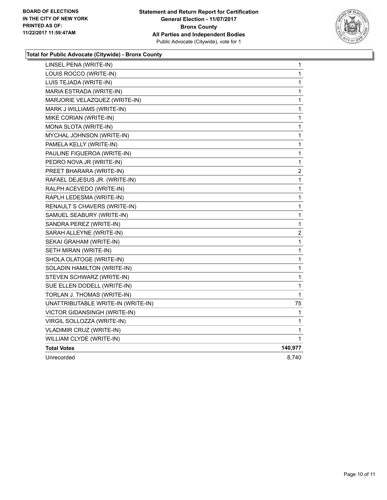

#### **Total for Public Advocate (Citywide) - Bronx County**

| LINSEL PENA (WRITE-IN)              | 1                       |
|-------------------------------------|-------------------------|
| LOUIS ROCCO (WRITE-IN)              | 1                       |
| LUIS TEJADA (WRITE-IN)              | 1                       |
| MARIA ESTRADA (WRITE-IN)            | 1                       |
| MARJORIE VELAZQUEZ (WRITE-IN)       | 1                       |
| MARK J WILLIAMS (WRITE-IN)          | 1                       |
| MIKE CORIAN (WRITE-IN)              | 1                       |
| MONA SLOTA (WRITE-IN)               | 1                       |
| MYCHAL JOHNSON (WRITE-IN)           | 1                       |
| PAMELA KELLY (WRITE-IN)             | 1                       |
| PAULINE FIGUEROA (WRITE-IN)         | 1                       |
| PEDRO NOVA JR (WRITE-IN)            | 1                       |
| PREET BHARARA (WRITE-IN)            | $\overline{\mathbf{c}}$ |
| RAFAEL DEJESUS JR. (WRITE-IN)       | 1                       |
| RALPH ACEVEDO (WRITE-IN)            | 1                       |
| RAPLH LEDESMA (WRITE-IN)            | 1                       |
| RENAULT S CHAVERS (WRITE-IN)        | 1                       |
| SAMUEL SEABURY (WRITE-IN)           | 1                       |
| SANDRA PEREZ (WRITE-IN)             | 1                       |
| SARAH ALLEYNE (WRITE-IN)            | $\overline{\mathbf{c}}$ |
| SEKAI GRAHAM (WRITE-IN)             | 1                       |
| SETH MIRAN (WRITE-IN)               | 1                       |
| SHOLA OLATOGE (WRITE-IN)            | 1                       |
| SOLADIN HAMILTON (WRITE-IN)         | 1                       |
| STEVEN SCHWARZ (WRITE-IN)           | 1                       |
| SUE ELLEN DODELL (WRITE-IN)         | 1                       |
| TORLAN J. THOMAS (WRITE-IN)         | 1                       |
| UNATTRIBUTABLE WRITE-IN (WRITE-IN)  | 75                      |
| <b>VICTOR GIDANSINGH (WRITE-IN)</b> | 1                       |
| VIRGIL SOLLOZZA (WRITE-IN)          | 1                       |
| <b>VLADIMIR CRUZ (WRITE-IN)</b>     | 1                       |
| WILLIAM CLYDE (WRITE-IN)            | 1                       |
| <b>Total Votes</b>                  | 140,977                 |
| Unrecorded                          | 8,740                   |